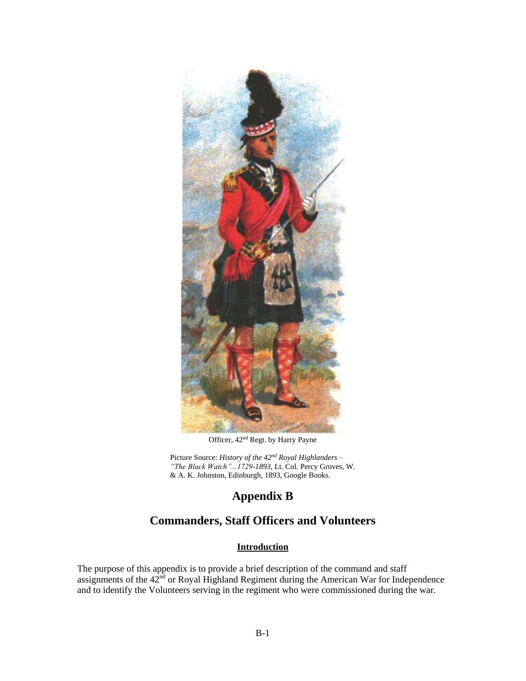

Officer, 42nd Regt. by Harry Payne

Picture Source: *History of the 42nd Royal Highlanders – "The Black Watch"...1729-1893*, Lt. Col. Percy Groves, W. & A. K. Johnston, Edinburgh, 1893, Google Books.

# **Appendix B**

## **Commanders, Staff Officers and Volunteers**

## **Introduction**

The purpose of this appendix is to provide a brief description of the command and staff assignments of the 42<sup>nd</sup> or Royal Highland Regiment during the American War for Independence and to identify the Volunteers serving in the regiment who were commissioned during the war.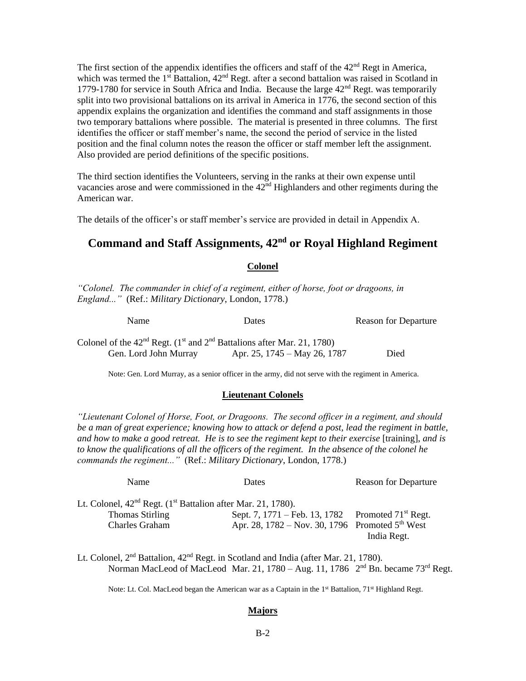The first section of the appendix identifies the officers and staff of the  $42<sup>nd</sup>$  Regt in America, which was termed the  $1<sup>st</sup>$  Battalion,  $42<sup>nd</sup>$  Regt. after a second battalion was raised in Scotland in 1779-1780 for service in South Africa and India. Because the large  $42<sup>nd</sup>$  Regt. was temporarily split into two provisional battalions on its arrival in America in 1776, the second section of this appendix explains the organization and identifies the command and staff assignments in those two temporary battalions where possible. The material is presented in three columns. The first identifies the officer or staff member's name, the second the period of service in the listed position and the final column notes the reason the officer or staff member left the assignment. Also provided are period definitions of the specific positions.

The third section identifies the Volunteers, serving in the ranks at their own expense until vacancies arose and were commissioned in the  $42<sup>nd</sup>$  Highlanders and other regiments during the American war.

The details of the officer's or staff member's service are provided in detail in Appendix A.

# **Command and Staff Assignments, 42nd or Royal Highland Regiment**

### **Colonel**

*"Colonel. The commander in chief of a regiment, either of horse, foot or dragoons, in England..."* (Ref.: *Military Dictionary*, London, 1778.)

| Name                                                                                   | Dates                        | <b>Reason for Departure</b> |  |
|----------------------------------------------------------------------------------------|------------------------------|-----------------------------|--|
| Colonel of the $42nd$ Regt. (1 <sup>st</sup> and $2nd$ Battalions after Mar. 21, 1780) |                              |                             |  |
| Gen. Lord John Murray                                                                  | Apr. 25, 1745 – May 26, 1787 | Died                        |  |

Note: Gen. Lord Murray, as a senior officer in the army, did not serve with the regiment in America.

#### **Lieutenant Colonels**

*"Lieutenant Colonel of Horse, Foot, or Dragoons. The second officer in a regiment, and should be a man of great experience; knowing how to attack or defend a post, lead the regiment in battle, and how to make a good retreat. He is to see the regiment kept to their exercise* [training], *and is to know the qualifications of all the officers of the regiment. In the absence of the colonel he commands the regiment..."* (Ref.: *Military Dictionary*, London, 1778.)

Name Dates Reason for Departure

| .                                                                          |                                                               | reason for <i>Departate</i> |
|----------------------------------------------------------------------------|---------------------------------------------------------------|-----------------------------|
| Lt. Colonel, $42nd$ Regt. (1 <sup>st</sup> Battalion after Mar. 21, 1780). |                                                               |                             |
| <b>Thomas Stirling</b>                                                     | Sept. 7, 1771 – Feb. 13, 1782 Promoted $71^{\text{st}}$ Regt. |                             |
| Charles Graham                                                             | Apr. 28, 1782 – Nov. 30, 1796 Promoted $5^{th}$ West          |                             |
|                                                                            |                                                               | India Regt.                 |

Lt. Colonel,  $2<sup>nd</sup>$  Battalion,  $42<sup>nd</sup>$  Regt. in Scotland and India (after Mar. 21, 1780). Norman MacLeod of MacLeod Mar. 21, 1780 – Aug. 11, 1786  $2<sup>nd</sup>$  Bn. became 73<sup>rd</sup> Regt.

Note: Lt. Col. MacLeod began the American war as a Captain in the 1<sup>st</sup> Battalion, 71<sup>st</sup> Highland Regt.

#### **Majors**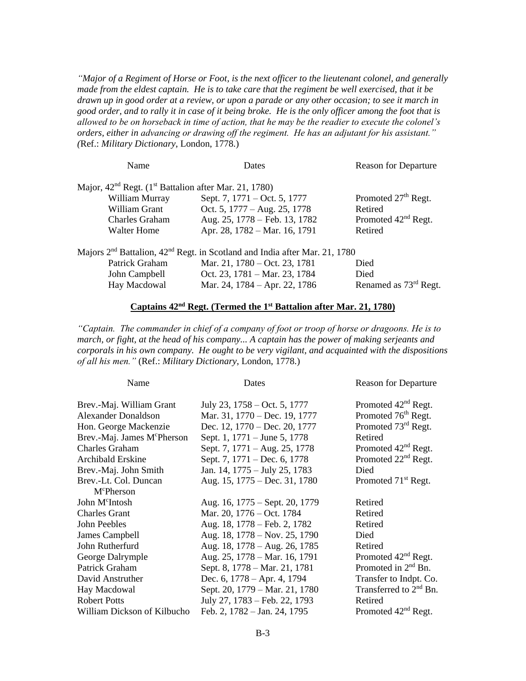*"Major of a Regiment of Horse or Foot, is the next officer to the lieutenant colonel, and generally made from the eldest captain. He is to take care that the regiment be well exercised, that it be drawn up in good order at a review, or upon a parade or any other occasion; to see it march in good order, and to rally it in case of it being broke. He is the only officer among the foot that is allowed to be on horseback in time of action, that he may be the readier to execute the colonel's orders, either in advancing or drawing off the regiment. He has an adjutant for his assistant." (*Ref.: *Military Dictionary*, London, 1778.)

| Name                                                                | Dates                                                                                              | <b>Reason for Departure</b>       |
|---------------------------------------------------------------------|----------------------------------------------------------------------------------------------------|-----------------------------------|
| Major, $42nd$ Regt. (1 <sup>st</sup> Battalion after Mar. 21, 1780) |                                                                                                    |                                   |
| William Murray                                                      | Sept. 7, 1771 – Oct. 5, 1777                                                                       | Promoted 27 <sup>th</sup> Regt.   |
| William Grant                                                       | Oct. 5, 1777 – Aug. 25, 1778                                                                       | Retired                           |
| <b>Charles Graham</b>                                               | Aug. 25, 1778 – Feb. 13, 1782                                                                      | Promoted 42 <sup>nd</sup> Regt.   |
| <b>Walter Home</b>                                                  | Apr. 28, 1782 – Mar. 16, 1791                                                                      | Retired                           |
|                                                                     | Majors 2 <sup>nd</sup> Battalion, 42 <sup>nd</sup> Regt. in Scotland and India after Mar. 21, 1780 |                                   |
| Patrick Graham                                                      | Mar. 21, 1780 – Oct. 23, 1781                                                                      | Died                              |
| John Campbell                                                       | Oct. 23, 1781 – Mar. 23, 1784                                                                      | Died                              |
| Hay Macdowal                                                        | Mar. 24, 1784 – Apr. 22, 1786                                                                      | Renamed as 73 <sup>rd</sup> Regt. |

### **Captains 42nd Regt. (Termed the 1 st Battalion after Mar. 21, 1780)**

*"Captain. The commander in chief of a company of foot or troop of horse or dragoons. He is to march, or fight, at the head of his company... A captain has the power of making serjeants and corporals in his own company. He ought to be very vigilant, and acquainted with the dispositions of all his men."* (Ref.: *Military Dictionary*, London, 1778.)

| Name                                    | Dates                          | <b>Reason for Departure</b>     |
|-----------------------------------------|--------------------------------|---------------------------------|
| Brev.-Maj. William Grant                | July 23, 1758 – Oct. 5, 1777   | Promoted 42 <sup>nd</sup> Regt. |
| <b>Alexander Donaldson</b>              | Mar. 31, 1770 – Dec. 19, 1777  | Promoted 76 <sup>th</sup> Regt. |
| Hon. George Mackenzie                   | Dec. 12, 1770 – Dec. 20, 1777  | Promoted 73 <sup>rd</sup> Regt. |
| Brev.-Maj. James M <sup>c</sup> Pherson | Sept. 1, 1771 – June 5, 1778   | Retired                         |
| <b>Charles Graham</b>                   | Sept. 7, 1771 – Aug. 25, 1778  | Promoted 42 <sup>nd</sup> Regt. |
| <b>Archibald Erskine</b>                | Sept. 7, 1771 – Dec. 6, 1778   | Promoted 22 <sup>nd</sup> Regt. |
| Brev.-Maj. John Smith                   | Jan. 14, 1775 – July 25, 1783  | Died                            |
| Brev.-Lt. Col. Duncan                   | Aug. 15, 1775 – Dec. 31, 1780  | Promoted 71 <sup>st</sup> Regt. |
| McPherson                               |                                |                                 |
| John M <sup>c</sup> Intosh              | Aug. 16, 1775 – Sept. 20, 1779 | Retired                         |
| <b>Charles Grant</b>                    | Mar. 20, 1776 – Oct. 1784      | Retired                         |
| John Peebles                            | Aug. 18, 1778 – Feb. 2, 1782   | Retired                         |
| James Campbell                          | Aug. 18, 1778 – Nov. 25, 1790  | Died                            |
| John Rutherfurd                         | Aug. 18, 1778 – Aug. 26, 1785  | Retired                         |
| George Dalrymple                        | Aug. 25, 1778 - Mar. 16, 1791  | Promoted 42 <sup>nd</sup> Regt. |
| Patrick Graham                          | Sept. 8, 1778 – Mar. 21, 1781  | Promoted in $2nd$ Bn.           |
| David Anstruther                        | Dec. 6, $1778 - Apr. 4$ , 1794 | Transfer to Indpt. Co.          |
| Hay Macdowal                            | Sept. 20, 1779 – Mar. 21, 1780 | Transferred to $2nd$ Bn.        |
| <b>Robert Potts</b>                     | July 27, 1783 – Feb. 22, 1793  | Retired                         |
| William Dickson of Kilbucho             | Feb. 2, 1782 – Jan. 24, 1795   | Promoted 42 <sup>nd</sup> Regt. |
|                                         |                                |                                 |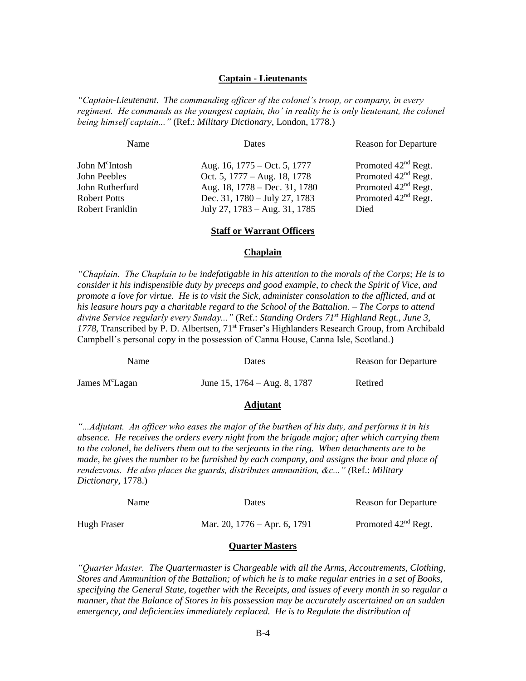### **Captain - Lieutenants**

*"Captain-Lieutenant. The commanding officer of the colonel's troop, or company, in every regiment. He commands as the youngest captain, tho' in reality he is only lieutenant, the colonel being himself captain..."* (Ref.: *Military Dictionary*, London, 1778.)

| Name                                                                                             | Dates                                                                                                                                                               | <b>Reason for Departure</b>                                                                                                            |
|--------------------------------------------------------------------------------------------------|---------------------------------------------------------------------------------------------------------------------------------------------------------------------|----------------------------------------------------------------------------------------------------------------------------------------|
| John M <sup>c</sup> Intosh<br>John Peebles<br>John Rutherfurd<br>Robert Potts<br>Robert Franklin | Aug. 16, 1775 – Oct. 5, 1777<br>Oct. 5, 1777 – Aug. 18, 1778<br>Aug. 18, 1778 – Dec. 31, 1780<br>Dec. 31, $1780 - July 27, 1783$<br>July 27, $1783 - Aug. 31, 1785$ | Promoted 42 <sup>nd</sup> Regt.<br>Promoted $42nd$ Regt.<br>Promoted 42 <sup>nd</sup> Regt.<br>Promoted 42 <sup>nd</sup> Regt.<br>Died |
|                                                                                                  |                                                                                                                                                                     |                                                                                                                                        |

#### **Staff or Warrant Officers**

#### **Chaplain**

*"Chaplain. The Chaplain to be indefatigable in his attention to the morals of the Corps; He is to consider it his indispensible duty by preceps and good example, to check the Spirit of Vice, and promote a love for virtue. He is to visit the Sick, administer consolation to the afflicted, and at his leasure hours pay a charitable regard to the School of the Battalion. – The Corps to attend divine Service regularly every Sunday..."* (Ref.: *Standing Orders 71st Highland Regt., June 3,*  1778, Transcribed by P. D. Albertsen, 71<sup>st</sup> Fraser's Highlanders Research Group, from Archibald Campbell's personal copy in the possession of Canna House, Canna Isle, Scotland.)

| Name                       | Dates                           |         |
|----------------------------|---------------------------------|---------|
| James M <sup>c</sup> Lagan | June 15, $1764 - Aug. 8$ , 1787 | Retired |

### **Adjutant**

*"...Adjutant. An officer who eases the major of the burthen of his duty, and performs it in his absence. He receives the orders every night from the brigade major; after which carrying them to the colonel, he delivers them out to the serjeants in the ring. When detachments are to be made, he gives the number to be furnished by each company, and assigns the hour and place of rendezvous. He also places the guards, distributes ammunition, &c..." (*Ref.: *Military Dictionary*, 1778.)

| <b>Name</b> | Dates                          | <b>Reason for Departure</b> |  |
|-------------|--------------------------------|-----------------------------|--|
| Hugh Fraser | Mar. 20, $1776 -$ Apr. 6, 1791 | Promoted $42nd$ Regt.       |  |

#### **Quarter Masters**

*"Quarter Master. The Quartermaster is Chargeable with all the Arms, Accoutrements, Clothing, Stores and Ammunition of the Battalion; of which he is to make regular entries in a set of Books, specifying the General State, together with the Receipts, and issues of every month in so regular a manner, that the Balance of Stores in his possession may be accurately ascertained on an sudden emergency, and deficiencies immediately replaced. He is to Regulate the distribution of*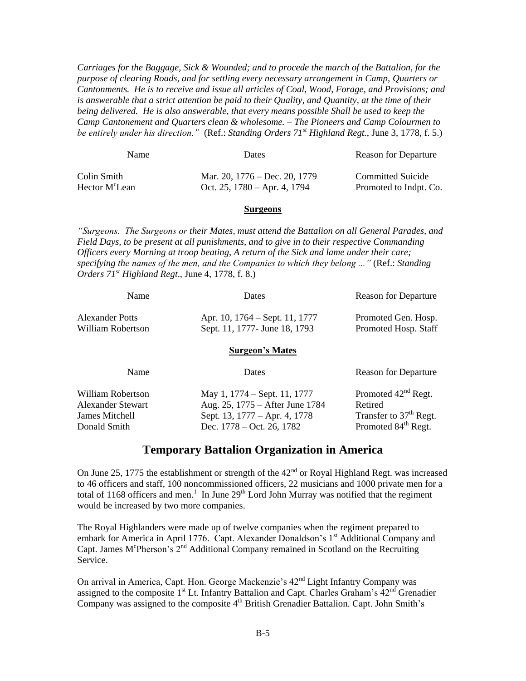*Carriages for the Baggage, Sick & Wounded; and to procede the march of the Battalion, for the purpose of clearing Roads, and for settling every necessary arrangement in Camp, Quarters or Cantonments. He is to receive and issue all articles of Coal, Wood, Forage, and Provisions; and is answerable that a strict attention be paid to their Quality, and Quantity, at the time of their being delivered. He is also answerable, that every means possible Shall be used to keep the Camp Cantonement and Quarters clean & wholesome. – The Pioneers and Camp Colourmen to be entirely under his direction."* (Ref.: *Standing Orders 71st Highland Regt.*, June 3, 1778, f. 5.)

| <b>Name</b>                | Dates                             |                        |
|----------------------------|-----------------------------------|------------------------|
| Colin Smith-               | Mar. 20, $1776 - Dec. 20$ , 1779  | Committed Suicide      |
| Hector M <sup>c</sup> Lean | Oct. 25, $1780 - Apr. 4$ , $1794$ | Promoted to Indpt. Co. |

#### **Surgeons**

*"Surgeons. The Surgeons or their Mates, must attend the Battalion on all General Parades, and Field Days, to be present at all punishments, and to give in to their respective Commanding Officers every Morning at troop beating, A return of the Sick and lame under their care; specifying the names of the men, and the Companies to which they belong ..."* (Ref.: *Standing Orders 71st Highland Regt*., June 4, 1778, f. 8.)

| Name                                 | Dates                                                           | <b>Reason for Departure</b>                 |  |
|--------------------------------------|-----------------------------------------------------------------|---------------------------------------------|--|
| Alexander Potts<br>William Robertson | Apr. 10, 1764 – Sept. 11, 1777<br>Sept. 11, 1777- June 18, 1793 | Promoted Gen. Hosp.<br>Promoted Hosp. Staff |  |
| <b>Surgeon's Mates</b>               |                                                                 |                                             |  |

| Name                                                                            | <b>Dates</b>                                                                                                                    | <b>Reason for Departure</b>                                                                                         |
|---------------------------------------------------------------------------------|---------------------------------------------------------------------------------------------------------------------------------|---------------------------------------------------------------------------------------------------------------------|
| William Robertson<br><b>Alexander Stewart</b><br>James Mitchell<br>Donald Smith | May 1, 1774 – Sept. 11, 1777<br>Aug. 25, 1775 – After June 1784<br>Sept. 13, 1777 – Apr. 4, 1778<br>Dec. $1778 - Oct. 26, 1782$ | Promoted 42 <sup>nd</sup> Regt.<br>Retired<br>Transfer to 37 <sup>th</sup> Regt.<br>Promoted 84 <sup>th</sup> Regt. |
|                                                                                 |                                                                                                                                 |                                                                                                                     |

## **Temporary Battalion Organization in America**

On June 25, 1775 the establishment or strength of the  $42<sup>nd</sup>$  or Royal Highland Regt. was increased to 46 officers and staff, 100 noncommissioned officers, 22 musicians and 1000 private men for a total of 1168 officers and men.<sup>1</sup> In June  $29<sup>th</sup>$  Lord John Murray was notified that the regiment would be increased by two more companies.

The Royal Highlanders were made up of twelve companies when the regiment prepared to embark for America in April 1776. Capt. Alexander Donaldson's 1<sup>st</sup> Additional Company and Capt. James M<sup>c</sup>Pherson's  $2<sup>nd</sup>$  Additional Company remained in Scotland on the Recruiting Service.

On arrival in America, Capt. Hon. George Mackenzie's 42nd Light Infantry Company was assigned to the composite  $1<sup>st</sup>$  Lt. Infantry Battalion and Capt. Charles Graham's  $42<sup>nd</sup>$  Grenadier Company was assigned to the composite 4<sup>th</sup> British Grenadier Battalion. Capt. John Smith's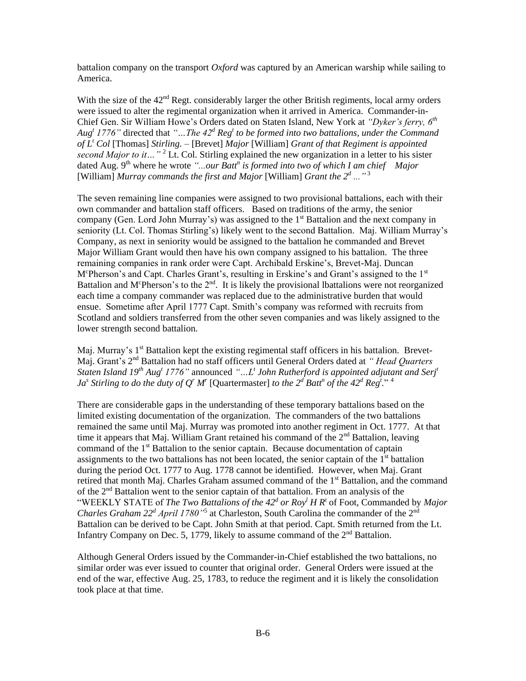battalion company on the transport *Oxford* was captured by an American warship while sailing to America.

With the size of the 42<sup>nd</sup> Regt. considerably larger the other British regiments, local army orders were issued to alter the regimental organization when it arrived in America. Commander-in-Chief Gen. Sir William Howe's Orders dated on Staten Island, New York at *"Dyker's ferry, 6th Aug<sup>t</sup> 1776"* directed that *"…The 42<sup>d</sup> Reg<sup>t</sup> to be formed into two battalions, under the Command of L<sup>t</sup> Col* [Thomas] *Stirling. –* [Brevet] *Major* [William] *Grant of that Regiment is appointed second Major to it...*"<sup>2</sup> Lt. Col. Stirling explained the new organization in a letter to his sister dated Aug. 9<sup>th</sup> where he wrote "...our Batt<sup>n</sup> is formed into two of which I am chief Major [William] *Murray commands the first and Major* [William] *Grant the 2<sup>d</sup> ...*"<sup>3</sup>

The seven remaining line companies were assigned to two provisional battalions, each with their own commander and battalion staff officers. Based on traditions of the army, the senior company (Gen. Lord John Murray's) was assigned to the 1<sup>st</sup> Battalion and the next company in seniority (Lt. Col. Thomas Stirling's) likely went to the second Battalion. Maj. William Murray's Company, as next in seniority would be assigned to the battalion he commanded and Brevet Major William Grant would then have his own company assigned to his battalion. The three remaining companies in rank order were Capt. Archibald Erskine's, Brevet-Maj. Duncan M<sup>c</sup>Pherson's and Capt. Charles Grant's, resulting in Erskine's and Grant's assigned to the 1<sup>st</sup> Battalion and M<sup>c</sup>Pherson's to the  $2<sup>nd</sup>$ . It is likely the provisional lbattalions were not reorganized each time a company commander was replaced due to the administrative burden that would ensue. Sometime after April 1777 Capt. Smith's company was reformed with recruits from Scotland and soldiers transferred from the other seven companies and was likely assigned to the lower strength second battalion.

Maj. Murray's 1<sup>st</sup> Battalion kept the existing regimental staff officers in his battalion. Brevet-Maj. Grant's 2<sup>nd</sup> Battalion had no staff officers until General Orders dated at *" Head Quarters Staten Island 19th Aug<sup>t</sup> 1776"* announced *"…L<sup>t</sup> John Rutherford is appointed adjutant and Serj<sup>t</sup> Ja*<sup>*s*</sup> *Stirling to do the duty of Q<sup><i>r*</sup> *M<sup>r</sup>* [Quartermaster] *to the 2<sup>d</sup> Batt<sup>n</sup> of the 42<sup>d</sup> Reg<sup>t</sup>." <sup>4</sup>* 

There are considerable gaps in the understanding of these temporary battalions based on the limited existing documentation of the organization. The commanders of the two battalions remained the same until Maj. Murray was promoted into another regiment in Oct. 1777. At that time it appears that Maj. William Grant retained his command of the  $2<sup>nd</sup>$  Battalion, leaving command of the  $1<sup>st</sup>$  Battalion to the senior captain. Because documentation of captain assignments to the two battalions has not been located, the senior captain of the  $1<sup>st</sup>$  battalion during the period Oct. 1777 to Aug. 1778 cannot be identified. However, when Maj. Grant retired that month Maj. Charles Graham assumed command of the 1<sup>st</sup> Battalion, and the command of the 2nd Battalion went to the senior captain of that battalion. From an analysis of the "WEEKLY STATE of *The Two Battalions of the 42<sup>d</sup> or Roy<sup>l</sup> H R<sup>t</sup>* of Foot, Commanded by *Major Charles Graham 22<sup>d</sup> April 1780<sup>1</sup>*<sup>5</sup> at Charleston, South Carolina the commander of the 2<sup>nd</sup> Battalion can be derived to be Capt. John Smith at that period. Capt. Smith returned from the Lt. Infantry Company on Dec. 5, 1779, likely to assume command of the  $2<sup>nd</sup>$  Battalion.

Although General Orders issued by the Commander-in-Chief established the two battalions, no similar order was ever issued to counter that original order. General Orders were issued at the end of the war, effective Aug. 25, 1783, to reduce the regiment and it is likely the consolidation took place at that time.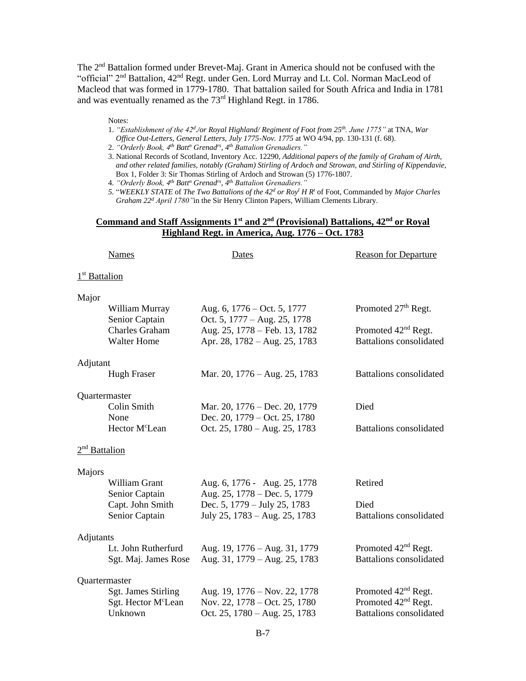The  $2<sup>nd</sup>$  Battalion formed under Brevet-Maj. Grant in America should not be confused with the "official" 2<sup>nd</sup> Battalion, 42<sup>nd</sup> Regt. under Gen. Lord Murray and Lt. Col. Norman MacLeod of Macleod that was formed in 1779-1780. That battalion sailed for South Africa and India in 1781 and was eventually renamed as the  $73<sup>rd</sup>$  Highland Regt. in 1786.

Notes:

- 1. *"Establishment of the 42<sup>d</sup> ./or Royal Highland/ Regiment of Foot from 25th. June 1775"* at TNA, *War Office Out-Letters, General Letters, July 1775-Nov. 1775* at WO 4/94, pp. 130-131 (f. 68).
- 2. *"Orderly Book, 4th Batt<sup>n</sup> Grenadrs, 4th Battalion Grenadiers."*
- 3. National Records of Scotland, Inventory Acc. 12290, *Additional papers of the family of Graham of Airth, and other related families, notably (Graham) Stirling of Ardoch and Strowan, and Stirling of Kippendavie*, Box 1, Folder 3: Sir Thomas Stirling of Ardoch and Strowan (5) 1776-1807.
- 4. *"Orderly Book, 4th Batt<sup>n</sup> Grenadrs, 4th Battalion Grenadiers."*
- *5.* "*WEEKLY STATE* of *The Two Battalions of the 42<sup>d</sup> or Roy<sup>l</sup> H R<sup>t</sup>* of Foot, Commanded by *Major Charles Graham 22<sup>d</sup> April 1780"*in the Sir Henry Clinton Papers, William Clements Library.

## **Command and Staff Assignments 1st and 2nd (Provisional) Battalions, 42nd or Royal Highland Regt. in America, Aug. 1776 – Oct. 1783**

|                           | <b>Names</b>                                                                    | Dates                                                                                                                         | <b>Reason for Departure</b>                                                                          |
|---------------------------|---------------------------------------------------------------------------------|-------------------------------------------------------------------------------------------------------------------------------|------------------------------------------------------------------------------------------------------|
| 1 <sup>st</sup> Battalion |                                                                                 |                                                                                                                               |                                                                                                      |
| Major                     | William Murray<br>Senior Captain<br><b>Charles Graham</b><br><b>Walter Home</b> | Aug. 6, 1776 – Oct. 5, 1777<br>Oct. 5, 1777 – Aug. 25, 1778<br>Aug. 25, 1778 – Feb. 13, 1782<br>Apr. 28, 1782 – Aug. 25, 1783 | Promoted 27 <sup>th</sup> Regt.<br>Promoted 42 <sup>nd</sup> Regt.<br><b>Battalions</b> consolidated |
| Adjutant                  | <b>Hugh Fraser</b>                                                              | Mar. 20, 1776 – Aug. 25, 1783                                                                                                 | <b>Battalions</b> consolidated                                                                       |
| Quartermaster             | Colin Smith<br>None<br>Hector M <sup>c</sup> Lean                               | Mar. 20, 1776 – Dec. 20, 1779<br>Dec. 20, 1779 – Oct. 25, 1780<br>Oct. 25, 1780 – Aug. 25, 1783                               | Died<br><b>Battalions</b> consolidated                                                               |
| 2 <sup>nd</sup> Battalion |                                                                                 |                                                                                                                               |                                                                                                      |
| Majors                    | William Grant<br>Senior Captain<br>Capt. John Smith<br>Senior Captain           | Aug. 6, 1776 - Aug. 25, 1778<br>Aug. 25, 1778 – Dec. 5, 1779<br>Dec. 5, 1779 – July 25, 1783<br>July 25, 1783 – Aug. 25, 1783 | Retired<br>Died<br><b>Battalions</b> consolidated                                                    |
| Adjutants                 | Lt. John Rutherfurd<br>Sgt. Maj. James Rose                                     | Aug. 19, 1776 – Aug. 31, 1779<br>Aug. 31, 1779 - Aug. 25, 1783                                                                | Promoted 42 <sup>nd</sup> Regt.<br><b>Battalions</b> consolidated                                    |
| Quartermaster             | Sgt. James Stirling<br>Sgt. Hector M <sup>c</sup> Lean<br>Unknown               | Aug. 19, 1776 – Nov. 22, 1778<br>Nov. 22, 1778 – Oct. 25, 1780<br>Oct. 25, 1780 - Aug. 25, 1783                               | Promoted $42nd$ Regt.<br>Promoted 42 <sup>nd</sup> Regt.<br><b>Battalions</b> consolidated           |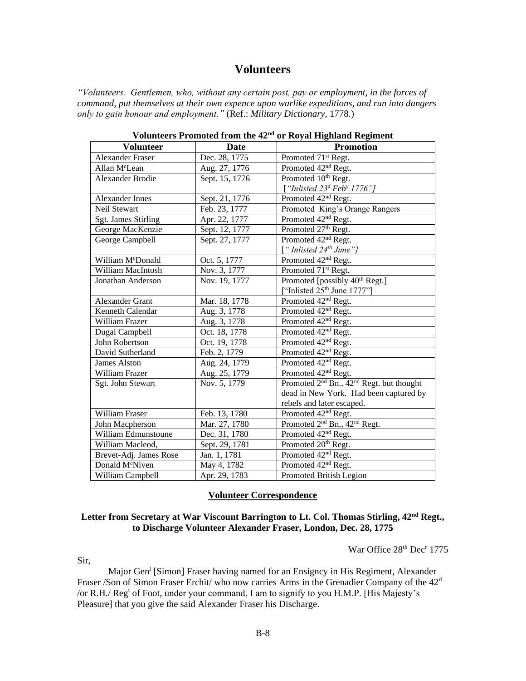## **Volunteers**

*"Volunteers. Gentlemen, who, without any certain post, pay or employment, in the forces of command, put themselves at their own expence upon warlike expeditions, and run into dangers only to gain honour and employment."* (Ref.: *Military Dictionary*, 1778.)

| <b>Volunteer</b>            | <b>Date</b>    | <b>Promotion</b>                                                 |
|-----------------------------|----------------|------------------------------------------------------------------|
| <b>Alexander Fraser</b>     | Dec. 28, 1775  | Promoted 71 <sup>st</sup> Regt.                                  |
| Allan M <sup>c</sup> Lean   | Aug. 27, 1776  | Promoted 42 <sup>nd</sup> Regt.                                  |
| <b>Alexander Brodie</b>     | Sept. 15, 1776 | Promoted 10 <sup>th</sup> Regt.                                  |
|                             |                | ["Inlisted $23d$ Feb <sup>y</sup> 1776"]                         |
| Alexander Innes             | Sept. 21, 1776 | Promoted 42 <sup>nd</sup> Regt.                                  |
| Neil Stewart                | Feb. 23, 1777  | Promoted King's Orange Rangers                                   |
| <b>Sgt. James Stirling</b>  | Apr. 22, 1777  | Promoted 42 <sup>nd</sup> Regt.                                  |
| George MacKenzie            | Sept. 12, 1777 | Promoted 27th Regt.                                              |
| George Campbell             | Sept. 27, 1777 | Promoted 42 <sup>nd</sup> Regt.                                  |
|                             |                | ["Inlisted $24th$ June"]                                         |
| William McDonald            | Oct. 5, 1777   | Promoted 42 <sup>nd</sup> Regt.                                  |
| William MacIntosh           | Nov. 3, 1777   | Promoted 71 <sup>st</sup> Regt.                                  |
| Jonathan Anderson           | Nov. 19, 1777  | Promoted [possibly 40 <sup>th</sup> Regt.]                       |
|                             |                | ["Inlisted $25th$ June $1777$ "]                                 |
| <b>Alexander Grant</b>      | Mar. 18, 1778  | Promoted 42 <sup>nd</sup> Regt.                                  |
| Kenneth Calendar            | Aug. 3, 1778   | Promoted 42 <sup>nd</sup> Regt.                                  |
| <b>William Frazer</b>       | Aug. 3, 1778   | Promoted 42 <sup>nd</sup> Regt.                                  |
| Dugal Campbell              | Oct. 18, 1778  | Promoted 42 <sup>nd</sup> Regt.                                  |
| John Robertson              | Oct. 19, 1778  | Promoted 42 <sup>nd</sup> Regt.                                  |
| David Sutherland            | Feb. 2, 1779   | Promoted 42 <sup>nd</sup> Regt.                                  |
| <b>James Alston</b>         | Aug. 24, 1779  | Promoted 42 <sup>nd</sup> Regt.                                  |
| William Frazer              | Aug. 25, 1779  | Promoted 42 <sup>nd</sup> Regt.                                  |
| Sgt. John Stewart           | Nov. 5, 1779   | Promoted 2 <sup>nd</sup> Bn., 42 <sup>nd</sup> Regt. but thought |
|                             |                | dead in New York. Had been captured by                           |
|                             |                | rebels and later escaped.                                        |
| William Fraser              | Feb. 13, 1780  | Promoted 42 <sup>nd</sup> Regt.                                  |
| John Macpherson             | Mar. 27, 1780  | Promoted 2 <sup>nd</sup> Bn., 42 <sup>nd</sup> Regt.             |
| William Edmunstoune         | Dec. 31, 1780  | Promoted 42 <sup>nd</sup> Regt.                                  |
| William Macleod,            | Sept. 29, 1781 | Promoted 20 <sup>th</sup> Regt.                                  |
| Brevet-Adj. James Rose      | Jan. 1, 1781   | Promoted 42 <sup>nd</sup> Regt.                                  |
| Donald M <sup>c</sup> Niven | May 4, 1782    | Promoted 42 <sup>nd</sup> Regt.                                  |
| William Campbell            | Apr. 29, 1783  | Promoted British Legion                                          |

**Volunteers Promoted from the 42nd or Royal Highland Regiment**

#### **Volunteer Correspondence**

## **Letter from Secretary at War Viscount Barrington to Lt. Col. Thomas Stirling, 42nd Regt., to Discharge Volunteer Alexander Fraser, London, Dec. 28, 1775**

War Office 28<sup>th</sup> Dec<sup>r</sup> 1775

Sir,

Major Gen<sup>1</sup> [Simon] Fraser having named for an Ensigncy in His Regiment, Alexander Fraser /Son of Simon Fraser Erchit/ who now carries Arms in the Grenadier Company of the 42<sup>d</sup> /or R.H./ Reg<sup>t</sup> of Foot, under your command, I am to signify to you H.M.P. [His Majesty's Pleasure] that you give the said Alexander Fraser his Discharge.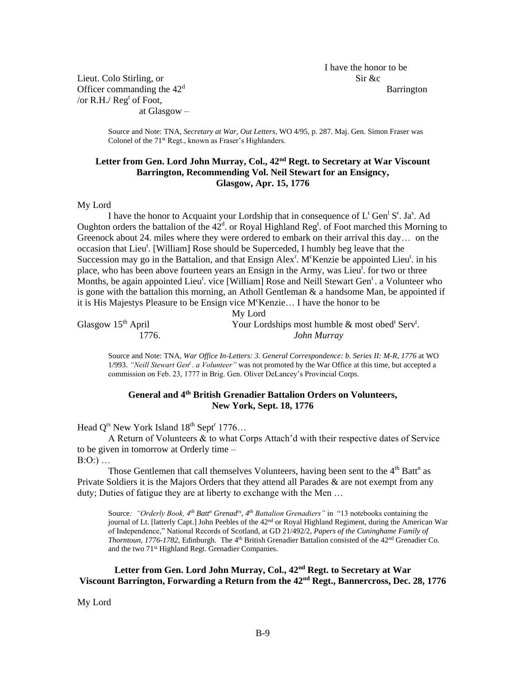I have the honor to be

Lieut. Colo Stirling, or Sir &c Officer commanding the  $42<sup>d</sup>$  Barrington /or R.H./ Reg<sup>t</sup> of Foot,

at Glasgow –

Source and Note: TNA, *Secretary at War, Out Letters*, WO 4/95, p. 287. Maj. Gen. Simon Fraser was Colonel of the 71<sup>st</sup> Regt., known as Fraser's Highlanders.

## **Letter from Gen. Lord John Murray, Col., 42nd Regt. to Secretary at War Viscount Barrington, Recommending Vol. Neil Stewart for an Ensigncy, Glasgow, Apr. 15, 1776**

My Lord

I have the honor to Acquaint your Lordship that in consequence of  $L^t$  Gen<sup>1</sup> S<sup>r</sup>. Ja<sup>s</sup>. Ad Oughton orders the battalion of the  $42<sup>d</sup>$  or Royal Highland Reg<sup>t</sup>. of Foot marched this Morning to Greenock about 24. miles where they were ordered to embark on their arrival this day… on the occasion that Lieu<sup>t</sup>. [William] Rose should be Superceded, I humbly beg leave that the Succession may go in the Battalion, and that Ensign Alex<sup>r</sup>. M<sup>c</sup>Kenzie be appointed Lieu<sup>t</sup>. in his place, who has been above fourteen years an Ensign in the Army, was Lieu<sup>t</sup> for two or three Months, be again appointed Lieu<sup>t</sup>. vice [William] Rose and Neill Stewart Gen<sup>t</sup>. a Volunteer who is gone with the battalion this morning, an Atholl Gentleman  $\&$  a handsome Man, be appointed if it is His Majestys Pleasure to be Ensign vice M<sup>c</sup>Kenzie... I have the honor to be

|                      | My Lord                                                                    |
|----------------------|----------------------------------------------------------------------------|
| Glasgow $15th$ April | Your Lordships most humble $\&$ most obed <sup>t</sup> Serv <sup>t</sup> . |
| 1776.                | John Murray                                                                |

Source and Note: TNA, *War Office In-Letters: 3. General Correspondence: b. Series II: M-R, 1776* at WO 1/993. *"Neill Stewart Gen<sup>t</sup>. a Volunteer"* was not promoted by the War Office at this time, but accepted a commission on Feb. 23, 1777 in Brig. Gen. Oliver DeLancey's Provincial Corps.

## **General and 4th British Grenadier Battalion Orders on Volunteers, New York, Sept. 18, 1776**

Head  $Q^{rs}$  New York Island  $18^{th}$  Sept<sup>r</sup> 1776...

A Return of Volunteers & to what Corps Attach'd with their respective dates of Service to be given in tomorrow at Orderly time –

 $B:O:$ ) ...

Those Gentlemen that call themselves Volunteers, having been sent to the  $4<sup>th</sup>$  Batt<sup>n</sup> as Private Soldiers it is the Majors Orders that they attend all Parades & are not exempt from any duty; Duties of fatigue they are at liberty to exchange with the Men …

Source*: "Orderly Book, 4th Batt<sup>n</sup> Grenadrs, 4th Battalion Grenadiers"* in "13 notebooks containing the journal of Lt. [latterly Capt.] John Peebles of the 42<sup>nd</sup> or Royal Highland Regiment, during the American War of Independence," National Records of Scotland, at GD 21/492/2, *Papers of the Cuninghame Family of Thorntoun, 1776-1782*, Edinburgh. The 4 th British Grenadier Battalion consisted of the 42nd Grenadier Co. and the two 71st Highland Regt. Grenadier Companies.

**Letter from Gen. Lord John Murray, Col., 42nd Regt. to Secretary at War Viscount Barrington, Forwarding a Return from the 42nd Regt., Bannercross, Dec. 28, 1776**

My Lord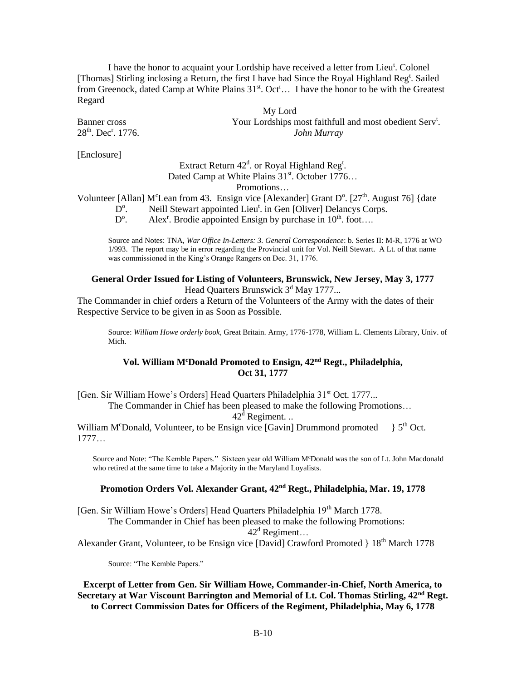I have the honor to acquaint your Lordship have received a letter from Lieu<sup>t</sup>. Colonel [Thomas] Stirling inclosing a Return, the first I have had Since the Royal Highland Reg<sup>t</sup>. Sailed from Greenock, dated Camp at White Plains  $31<sup>st</sup>$ . Oct<sup>r</sup>… I have the honor to be with the Greatest Regard

My Lord Banner cross Your Lordships most faithfull and most obedient Serv<sup>t</sup>.  $John Murray$ 

 $28<sup>th</sup>$ . Dec<sup>r</sup>. 1776.

[Enclosure]

## Extract Return  $42^d$ . or Royal Highland Reg<sup>t</sup>. Dated Camp at White Plains  $31^{st}$ . October 1776...

Promotions…

Volunteer [Allan] M<sup>c</sup>Lean from 43. Ensign vice [Alexander] Grant  $D^{\circ}$ . [27<sup>th</sup>. August 76] {date

- $D^{\rm o}$ Neill Stewart appointed Lieu<sup>t</sup>. in Gen [Oliver] Delancys Corps.
- D o Alex<sup>r</sup>. Brodie appointed Ensign by purchase in  $10^{th}$ . foot....

Source and Notes: TNA, *War Office In-Letters: 3. General Correspondence*: b. Series II: M-R, 1776 at WO 1/993. The report may be in error regarding the Provincial unit for Vol. Neill Stewart. A Lt. of that name was commissioned in the King's Orange Rangers on Dec. 31, 1776.

### **General Order Issued for Listing of Volunteers, Brunswick, New Jersey, May 3, 1777** Head Quarters Brunswick  $3<sup>d</sup>$  May 1777...

The Commander in chief orders a Return of the Volunteers of the Army with the dates of their Respective Service to be given in as Soon as Possible.

Source: *William Howe orderly book*, Great Britain. Army, 1776-1778, William L. Clements Library, Univ. of Mich.

## **Vol. William M<sup>c</sup>Donald Promoted to Ensign, 42nd Regt., Philadelphia, Oct 31, 1777**

[Gen. Sir William Howe's Orders] Head Quarters Philadelphia 31<sup>st</sup> Oct. 1777...

The Commander in Chief has been pleased to make the following Promotions…

42<sup>d</sup> Regiment. ..

William M<sup>c</sup>Donald, Volunteer, to be Ensign vice  $[Gavin]$  Drummond promoted  $\frac{1}{5}$  S<sup>th</sup> Oct. 1777…

Source and Note: "The Kemble Papers." Sixteen year old William M<sup>c</sup>Donald was the son of Lt. John Macdonald who retired at the same time to take a Majority in the Maryland Loyalists.

## **Promotion Orders Vol. Alexander Grant, 42nd Regt., Philadelphia, Mar. 19, 1778**

[Gen. Sir William Howe's Orders] Head Quarters Philadelphia 19<sup>th</sup> March 1778. The Commander in Chief has been pleased to make the following Promotions:

 $42^d$  Regiment...

Alexander Grant, Volunteer, to be Ensign vice [David] Crawford Promoted } 18<sup>th</sup> March 1778

Source: "The Kemble Papers."

**Excerpt of Letter from Gen. Sir William Howe, Commander-in-Chief, North America, to Secretary at War Viscount Barrington and Memorial of Lt. Col. Thomas Stirling, 42nd Regt. to Correct Commission Dates for Officers of the Regiment, Philadelphia, May 6, 1778**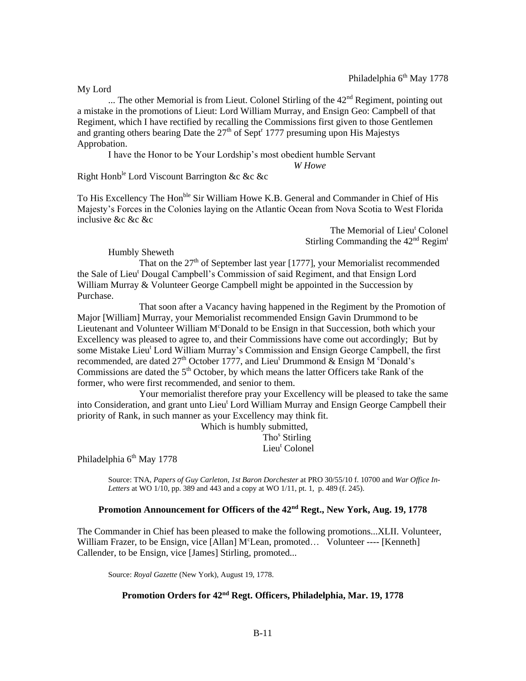My Lord

... The other Memorial is from Lieut. Colonel Stirling of the  $42<sup>nd</sup>$  Regiment, pointing out a mistake in the promotions of Lieut: Lord William Murray, and Ensign Geo: Campbell of that Regiment, which I have rectified by recalling the Commissions first given to those Gentlemen and granting others bearing Date the  $27<sup>th</sup>$  of Sept<sup>r</sup> 1777 presuming upon His Majestys Approbation.

I have the Honor to be Your Lordship's most obedient humble Servant

*W Howe*

Right Honb<sup>le</sup> Lord Viscount Barrington &c &c &c

To His Excellency The Hon<sup>ble</sup> Sir William Howe K.B. General and Commander in Chief of His Majesty's Forces in the Colonies laying on the Atlantic Ocean from Nova Scotia to West Florida inclusive &c &c &c

> The Memorial of Lieu<sup>t</sup> Colonel Stirling Commanding the 42<sup>nd</sup> Regim<sup>t</sup>

Humbly Sheweth

That on the  $27<sup>th</sup>$  of September last year [1777], your Memorialist recommended the Sale of Lieu<sup>t</sup> Dougal Campbell's Commission of said Regiment, and that Ensign Lord William Murray & Volunteer George Campbell might be appointed in the Succession by Purchase.

That soon after a Vacancy having happened in the Regiment by the Promotion of Major [William] Murray, your Memorialist recommended Ensign Gavin Drummond to be Lieutenant and Volunteer William M<sup>c</sup>Donald to be Ensign in that Succession, both which your Excellency was pleased to agree to, and their Commissions have come out accordingly; But by some Mistake Lieu<sup>t</sup> Lord William Murray's Commission and Ensign George Campbell, the first recommended, are dated  $27<sup>th</sup>$  October 1777, and Lieu<sup>t</sup> Drummond & Ensign M °Donald's Commissions are dated the  $5<sup>th</sup>$  October, by which means the latter Officers take Rank of the former, who were first recommended, and senior to them.

Your memorialist therefore pray your Excellency will be pleased to take the same into Consideration, and grant unto Lieu<sup>t</sup> Lord William Murray and Ensign George Campbell their priority of Rank, in such manner as your Excellency may think fit.

Which is humbly submitted, Tho<sup>s</sup> Stirling Lieu<sup>t</sup> Colonel

Philadelphia 6<sup>th</sup> May 1778

Source: TNA, *Papers of Guy Carleton, 1st Baron Dorchester* at PRO 30/55/10 f. 10700 and *War Office In-Letters* at WO 1/10, pp. 389 and 443 and a copy at WO 1/11, pt. 1, p. 489 (f. 245).

#### **Promotion Announcement for Officers of the 42nd Regt., New York, Aug. 19, 1778**

The Commander in Chief has been pleased to make the following promotions...XLII. Volunteer, William Frazer, to be Ensign, vice [Allan]  $M<sup>c</sup>$ Lean, promoted... Volunteer ---- [Kenneth] Callender, to be Ensign, vice [James] Stirling, promoted...

Source: *Royal Gazette* (New York), August 19, 1778.

## **Promotion Orders for 42nd Regt. Officers, Philadelphia, Mar. 19, 1778**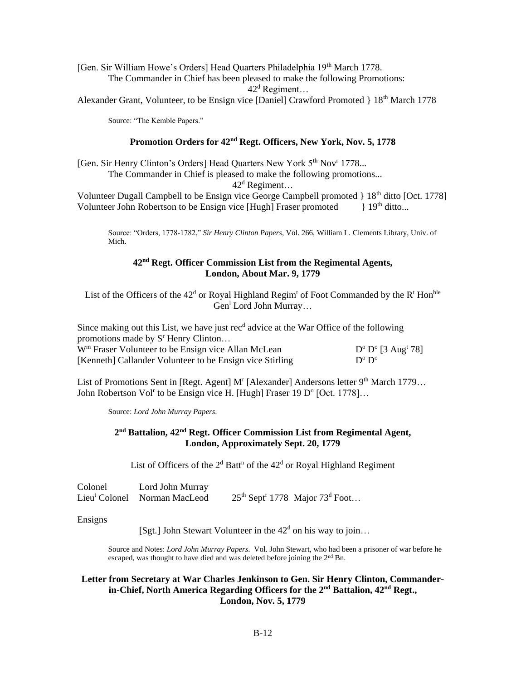[Gen. Sir William Howe's Orders] Head Quarters Philadelphia 19<sup>th</sup> March 1778. The Commander in Chief has been pleased to make the following Promotions:  $42<sup>d</sup>$  Regiment...

Alexander Grant, Volunteer, to be Ensign vice [Daniel] Crawford Promoted } 18<sup>th</sup> March 1778

Source: "The Kemble Papers."

## **Promotion Orders for 42nd Regt. Officers, New York, Nov. 5, 1778**

[Gen. Sir Henry Clinton's Orders] Head Quarters New York 5<sup>th</sup> Nov<sup>r</sup> 1778...

The Commander in Chief is pleased to make the following promotions...

 $42^d$  Regiment...

Volunteer Dugall Campbell to be Ensign vice George Campbell promoted } 18<sup>th</sup> ditto [Oct. 1778] Volunteer John Robertson to be Ensign vice [Hugh] Fraser promoted  $\downarrow$  19<sup>th</sup> ditto...

Source: "Orders, 1778-1782," *Sir Henry Clinton Papers*, Vol. 266, William L. Clements Library, Univ. of Mich.

## **42nd Regt. Officer Commission List from the Regimental Agents, London, About Mar. 9, 1779**

List of the Officers of the  $42<sup>d</sup>$  or Royal Highland Regim<sup>t</sup> of Foot Commanded by the R<sup>t</sup> Hon<sup>ble</sup> Gen<sup>1</sup> Lord John Murray...

Since making out this List, we have just  $\text{rec}^d$  advice at the War Office of the following promotions made by  $S<sup>r</sup>$  Henry Clinton... W<sup>m</sup> Fraser Volunteer to be Ensign vice Allan McLean  $^{\circ}$  D<sup>o</sup> [3 Aug<sup>t</sup> 78] [Kenneth] Callander Volunteer to be Ensign vice Stirling  $^{\rm o}$  D<sup> $^{\rm o}$ </sup>

List of Promotions Sent in [Regt. Agent] M<sup>r</sup> [Alexander] Andersons letter 9<sup>th</sup> March 1779... John Robertson Vol<sup>r</sup> to be Ensign vice H. [Hugh] Fraser 19 D<sup>o</sup> [Oct. 1778]...

Source: *Lord John Murray Papers*.

## **2 nd Battalion, 42nd Regt. Officer Commission List from Regimental Agent, London, Approximately Sept. 20, 1779**

List of Officers of the  $2<sup>d</sup>$  Batt<sup>n</sup> of the  $42<sup>d</sup>$  or Royal Highland Regiment

| Colonel | Lord John Murray                         |                                                          |
|---------|------------------------------------------|----------------------------------------------------------|
|         | Lieu <sup>t</sup> Colonel Norman MacLeod | $25th$ Sept <sup>r</sup> 1778 Major 73 <sup>d</sup> Foot |

Ensigns

[Sgt.] John Stewart Volunteer in the  $42<sup>d</sup>$  on his way to join...

Source and Notes: *Lord John Murray Papers*. Vol. John Stewart, who had been a prisoner of war before he escaped, was thought to have died and was deleted before joining the 2nd Bn.

## **Letter from Secretary at War Charles Jenkinson to Gen. Sir Henry Clinton, Commanderin-Chief, North America Regarding Officers for the 2nd Battalion, 42nd Regt., London, Nov. 5, 1779**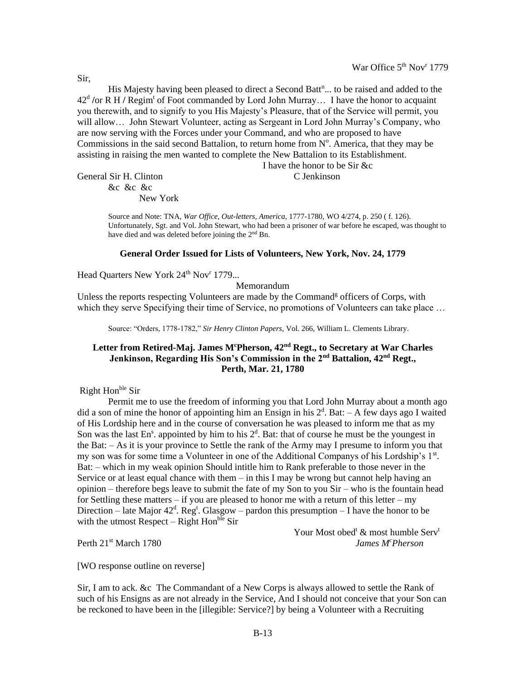His Majesty having been pleased to direct a Second Batt<sup>n</sup>... to be raised and added to the 42<sup>d</sup> /or R H / Regim<sup>t</sup> of Foot commanded by Lord John Murray... I have the honor to acquaint you therewith, and to signify to you His Majesty's Pleasure, that of the Service will permit, you will allow… John Stewart Volunteer, acting as Sergeant in Lord John Murray's Company, who are now serving with the Forces under your Command, and who are proposed to have Commissions in the said second Battalion, to return home from  $N^{\circ}$ . America, that they may be assisting in raising the men wanted to complete the New Battalion to its Establishment.

I have the honor to be Sir &c

General Sir H. Clinton C Jenkinson &c &c &c

New York

Source and Note: TNA, *War Office, Out-letters, America*, 1777-1780, WO 4/274, p. 250 ( f. 126). Unfortunately, Sgt. and Vol. John Stewart, who had been a prisoner of war before he escaped, was thought to have died and was deleted before joining the 2<sup>nd</sup> Bn.

#### **General Order Issued for Lists of Volunteers, New York, Nov. 24, 1779**

Head Quarters New York 24<sup>th</sup> Nov<sup>r</sup> 1779...

Memorandum

Unless the reports respecting Volunteers are made by the Command<sup>g</sup> officers of Corps, with which they serve Specifying their time of Service, no promotions of Volunteers can take place …

Source: "Orders, 1778-1782," *Sir Henry Clinton Papers*, Vol. 266, William L. Clements Library.

## Letter from Retired-Maj. James M<sup>c</sup>Pherson, 42<sup>nd</sup> Regt., to Secretary at War Charles **Jenkinson, Regarding His Son's Commission in the 2nd Battalion, 42nd Regt., Perth, Mar. 21, 1780**

Right Hon<sup>ble</sup> Sir

Permit me to use the freedom of informing you that Lord John Murray about a month ago did a son of mine the honor of appointing him an Ensign in his  $2<sup>d</sup>$ . Bat:  $-A$  few days ago I waited of His Lordship here and in the course of conversation he was pleased to inform me that as my Son was the last En<sup>s</sup>. appointed by him to his  $2<sup>d</sup>$ . Bat: that of course he must be the youngest in the Bat: – As it is your province to Settle the rank of the Army may I presume to inform you that my son was for some time a Volunteer in one of the Additional Companys of his Lordship's 1<sup>st</sup>. Bat: – which in my weak opinion Should intitle him to Rank preferable to those never in the Service or at least equal chance with them  $-$  in this I may be wrong but cannot help having an opinion – therefore begs leave to submit the fate of my Son to you Sir – who is the fountain head for Settling these matters – if you are pleased to honor me with a return of this letter – my Direction – late Major  $42^d$ . Reg<sup>t</sup>. Glasgow – pardon this presumption – I have the honor to be with the utmost Respect – Right Hon<sup>ble</sup> Sir

Your Most obed<sup>t</sup>  $\&$  most humble Serv<sup>t</sup> Perth 21st March 1780 *James M<sup>c</sup>Pherson*

[WO response outline on reverse]

Sir, I am to ack. &c The Commandant of a New Corps is always allowed to settle the Rank of such of his Ensigns as are not already in the Service, And I should not conceive that your Son can be reckoned to have been in the [illegible: Service?] by being a Volunteer with a Recruiting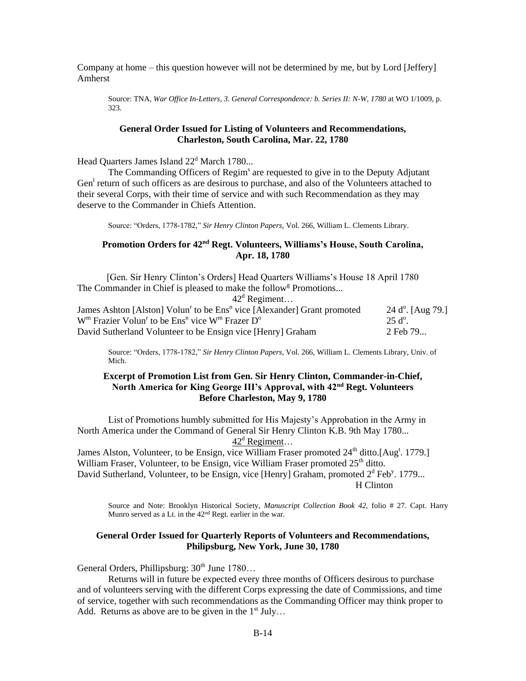Company at home – this question however will not be determined by me, but by Lord [Jeffery] Amherst

Source: TNA, *War Office In-Letters, 3. General Correspondence: b. Series II: N-W, 1780* at WO 1/1009, p. 323.

#### **General Order Issued for Listing of Volunteers and Recommendations, Charleston, South Carolina, Mar. 22, 1780**

Head Quarters James Island 22<sup>d</sup> March 1780...

The Commanding Officers of Regim<sup>s</sup> are requested to give in to the Deputy Adjutant Gen<sup>1</sup> return of such officers as are desirous to purchase, and also of the Volunteers attached to their several Corps, with their time of service and with such Recommendation as they may deserve to the Commander in Chiefs Attention.

Source: "Orders, 1778-1782," *Sir Henry Clinton Papers*, Vol. 266, William L. Clements Library.

## **Promotion Orders for 42nd Regt. Volunteers, Williams's House, South Carolina, Apr. 18, 1780**

[Gen. Sir Henry Clinton's Orders] Head Quarters Williams's House 18 April 1780 The Commander in Chief is pleased to make the follow<sup>g</sup> Promotions...

 $42^d$  Regiment...

| James Ashton [Alston] Volun <sup>r</sup> to be Ens <sup>n</sup> vice [Alexander] Grant promoted | $24$ d <sup>o</sup> . [Aug 79.] |
|-------------------------------------------------------------------------------------------------|---------------------------------|
| $Wm$ Frazier Volun <sup>r</sup> to be Ens <sup>n</sup> vice $Wm$ Frazer $Do$                    | $-25 d^{\circ}$ .               |
| David Sutherland Volunteer to be Ensign vice [Henry] Graham                                     | 2 Feb 79                        |

Source: "Orders, 1778-1782," *Sir Henry Clinton Papers*, Vol. 266, William L. Clements Library, Univ. of Mich.

## **Excerpt of Promotion List from Gen. Sir Henry Clinton, Commander-in-Chief, North America for King George III's Approval, with 42nd Regt. Volunteers Before Charleston, May 9, 1780**

List of Promotions humbly submitted for His Majesty's Approbation in the Army in North America under the Command of General Sir Henry Clinton K.B. 9th May 1780...  $42^d$  Regiment...

James Alston, Volunteer, to be Ensign, vice William Fraser promoted 24<sup>th</sup> ditto.[Aug<sup>t</sup>. 1779.] William Fraser, Volunteer, to be Ensign, vice William Fraser promoted  $25<sup>th</sup>$  ditto. David Sutherland, Volunteer, to be Ensign, vice [Henry] Graham, promoted  $2<sup>d</sup>$  Feb<sup>y</sup>. 1779... H Clinton

Source and Note: Brooklyn Historical Society, *Manuscript Collection Book 42,* folio # 27. Capt. Harry Munro served as a Lt. in the 42nd Regt. earlier in the war.

#### **General Order Issued for Quarterly Reports of Volunteers and Recommendations, Philipsburg, New York, June 30, 1780**

General Orders, Phillipsburg: 30<sup>th</sup> June 1780...

Returns will in future be expected every three months of Officers desirous to purchase and of volunteers serving with the different Corps expressing the date of Commissions, and time of service, together with such recommendations as the Commanding Officer may think proper to Add. Returns as above are to be given in the  $1<sup>st</sup>$  July...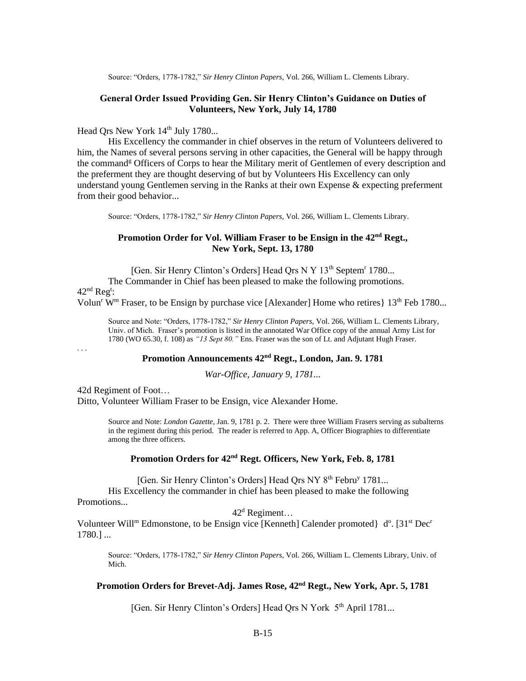Source: "Orders, 1778-1782," *Sir Henry Clinton Papers*, Vol. 266, William L. Clements Library.

#### **General Order Issued Providing Gen. Sir Henry Clinton's Guidance on Duties of Volunteers, New York, July 14, 1780**

## Head Qrs New York 14<sup>th</sup> July 1780...

His Excellency the commander in chief observes in the return of Volunteers delivered to him, the Names of several persons serving in other capacities, the General will be happy through the command<sup>g</sup> Officers of Corps to hear the Military merit of Gentlemen of every description and the preferment they are thought deserving of but by Volunteers His Excellency can only understand young Gentlemen serving in the Ranks at their own Expense & expecting preferment from their good behavior...

Source: "Orders, 1778-1782," *Sir Henry Clinton Papers*, Vol. 266, William L. Clements Library.

## **Promotion Order for Vol. William Fraser to be Ensign in the 42nd Regt., New York, Sept. 13, 1780**

[Gen. Sir Henry Clinton's Orders] Head Qrs N Y 13<sup>th</sup> Septem<sup>r</sup> 1780...

The Commander in Chief has been pleased to make the following promotions.  $42<sup>nd</sup>$  Reg<sup>t</sup>:

Volun<sup>r</sup> W<sup>m</sup> Fraser, to be Ensign by purchase vice [Alexander] Home who retires}  $13<sup>th</sup>$  Feb 1780...

Source and Note: "Orders, 1778-1782," *Sir Henry Clinton Papers*, Vol. 266, William L. Clements Library, Univ. of Mich. Fraser's promotion is listed in the annotated War Office copy of the annual Army List for 1780 (WO 65.30, f. 108) as *"13 Sept 80."* Ens. Fraser was the son of Lt. and Adjutant Hugh Fraser.

. . .

## **Promotion Announcements 42nd Regt., London, Jan. 9. 1781**

*War-Office, January 9, 1781...*

42d Regiment of Foot… Ditto, Volunteer William Fraser to be Ensign, vice Alexander Home.

> Source and Note: *London Gazette*, Jan. 9, 1781 p. 2. There were three William Frasers serving as subalterns in the regiment during this period. The reader is referred to App. A, Officer Biographies to differentiate among the three officers.

### **Promotion Orders for 42nd Regt. Officers, New York, Feb. 8, 1781**

[Gen. Sir Henry Clinton's Orders] Head Qrs NY 8<sup>th</sup> Febru<sup>y</sup> 1781...

His Excellency the commander in chief has been pleased to make the following Promotions...

 $42^d$  Regiment...

Volunteer Will<sup>m</sup> Edmonstone, to be Ensign vice [Kenneth] Calender promoted}  $d^{\circ}$ . [31<sup>st</sup> Dec<sup>r</sup> 1780.] ...

Source: "Orders, 1778-1782," *Sir Henry Clinton Papers*, Vol. 266, William L. Clements Library, Univ. of Mich.

## **Promotion Orders for Brevet-Adj. James Rose, 42nd Regt., New York, Apr. 5, 1781**

[Gen. Sir Henry Clinton's Orders] Head Ors N York 5<sup>th</sup> April 1781...